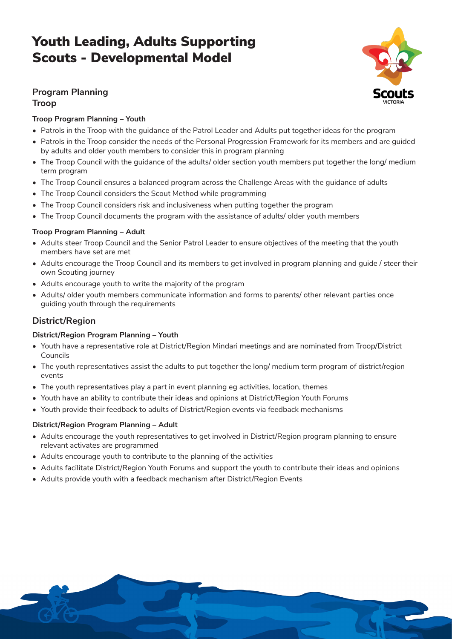## **Program Planning**

#### **Troop**

### **Troop Program Planning – Youth**

- Patrols in the Troop with the guidance of the Patrol Leader and Adults put together ideas for the program
- Patrols in the Troop consider the needs of the Personal Progression Framework for its members and are guided by adults and older youth members to consider this in program planning
- The Troop Council with the guidance of the adults/ older section youth members put together the long/ medium term program
- The Troop Council ensures a balanced program across the Challenge Areas with the guidance of adults
- The Troop Council considers the Scout Method while programming
- The Troop Council considers risk and inclusiveness when putting together the program
- The Troop Council documents the program with the assistance of adults/ older youth members

#### **Troop Program Planning – Adult**

- Adults steer Troop Council and the Senior Patrol Leader to ensure objectives of the meeting that the youth members have set are met
- Adults encourage the Troop Council and its members to get involved in program planning and guide / steer their own Scouting journey
- Adults encourage youth to write the majority of the program
- Adults/ older youth members communicate information and forms to parents/ other relevant parties once guiding youth through the requirements

## **District/Region**

#### **District/Region Program Planning – Youth**

- Youth have a representative role at District/Region Mindari meetings and are nominated from Troop/District Councils
- The youth representatives assist the adults to put together the long/ medium term program of district/region events
- The youth representatives play a part in event planning eg activities, location, themes
- Youth have an ability to contribute their ideas and opinions at District/Region Youth Forums
- Youth provide their feedback to adults of District/Region events via feedback mechanisms

#### **District/Region Program Planning – Adult**

- Adults encourage the youth representatives to get involved in District/Region program planning to ensure relevant activates are programmed
- Adults encourage youth to contribute to the planning of the activities
- Adults facilitate District/Region Youth Forums and support the youth to contribute their ideas and opinions
- Adults provide youth with a feedback mechanism after District/Region Events



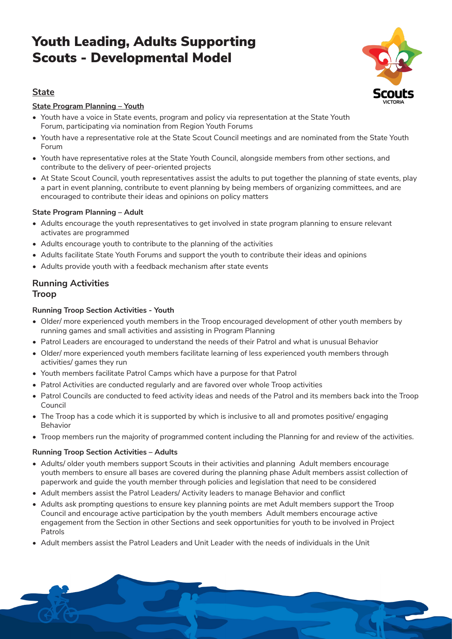

2

## **State**

#### **State Program Planning – Youth**

- Youth have a voice in State events, program and policy via representation at the State Youth Forum, participating via nomination from Region Youth Forums
- Youth have a representative role at the State Scout Council meetings and are nominated from the State Youth Forum
- Youth have representative roles at the State Youth Council, alongside members from other sections, and contribute to the delivery of peer-oriented projects
- At State Scout Council, youth representatives assist the adults to put together the planning of state events, play a part in event planning, contribute to event planning by being members of organizing committees, and are encouraged to contribute their ideas and opinions on policy matters

#### **State Program Planning – Adult**

- Adults encourage the youth representatives to get involved in state program planning to ensure relevant activates are programmed
- Adults encourage youth to contribute to the planning of the activities
- Adults facilitate State Youth Forums and support the youth to contribute their ideas and opinions
- Adults provide youth with a feedback mechanism after state events

### **Running Activities Troop**

#### **Running Troop Section Activities - Youth**

- Older/ more experienced youth members in the Troop encouraged development of other youth members by running games and small activities and assisting in Program Planning
- Patrol Leaders are encouraged to understand the needs of their Patrol and what is unusual Behavior
- Older/ more experienced youth members facilitate learning of less experienced youth members through activities/ games they run
- Youth members facilitate Patrol Camps which have a purpose for that Patrol
- Patrol Activities are conducted regularly and are favored over whole Troop activities
- Patrol Councils are conducted to feed activity ideas and needs of the Patrol and its members back into the Troop Council
- The Troop has a code which it is supported by which is inclusive to all and promotes positive/ engaging Behavior
- Troop members run the majority of programmed content including the Planning for and review of the activities.

#### **Running Troop Section Activities – Adults**

- Adults/ older youth members support Scouts in their activities and planning Adult members encourage youth members to ensure all bases are covered during the planning phase Adult members assist collection of paperwork and guide the youth member through policies and legislation that need to be considered
- Adult members assist the Patrol Leaders/ Activity leaders to manage Behavior and conflict
- Adults ask prompting questions to ensure key planning points are met Adult members support the Troop Council and encourage active participation by the youth members Adult members encourage active engagement from the Section in other Sections and seek opportunities for youth to be involved in Project Patrols
- Adult members assist the Patrol Leaders and Unit Leader with the needs of individuals in the Unit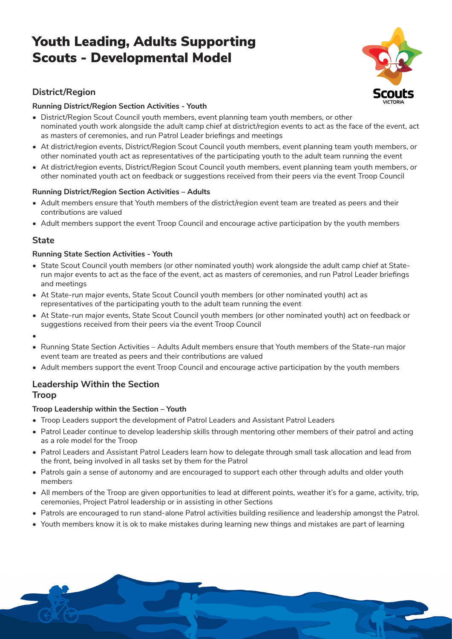

## **District/Region**

#### **Running District/Region Section Activities - Youth**

- District/Region Scout Council youth members, event planning team youth members, or other nominated youth work alongside the adult camp chief at district/region events to act as the face of the event, act as masters of ceremonies, and run Patrol Leader briefings and meetings
- At district/region events, District/Region Scout Council youth members, event planning team youth members, or other nominated youth act as representatives of the participating youth to the adult team running the event
- At district/region events, District/Region Scout Council youth members, event planning team youth members, or other nominated youth act on feedback or suggestions received from their peers via the event Troop Council

#### **Running District/Region Section Activities – Adults**

- Adult members ensure that Youth members of the district/region event team are treated as peers and their contributions are valued
- Adult members support the event Troop Council and encourage active participation by the youth members

### **State**

#### **Running State Section Activities - Youth**

- State Scout Council youth members (or other nominated youth) work alongside the adult camp chief at Staterun major events to act as the face of the event, act as masters of ceremonies, and run Patrol Leader briefings and meetings
- At State-run major events, State Scout Council youth members (or other nominated youth) act as representatives of the participating youth to the adult team running the event
- At State-run major events, State Scout Council youth members (or other nominated youth) act on feedback or suggestions received from their peers via the event Troop Council
- •
- Running State Section Activities Adults Adult members ensure that Youth members of the State-run major event team are treated as peers and their contributions are valued
- Adult members support the event Troop Council and encourage active participation by the youth members

#### **Leadership Within the Section Troop**

#### **Troop Leadership within the Section – Youth**

- Troop Leaders support the development of Patrol Leaders and Assistant Patrol Leaders
- Patrol Leader continue to develop leadership skills through mentoring other members of their patrol and acting as a role model for the Troop
- Patrol Leaders and Assistant Patrol Leaders learn how to delegate through small task allocation and lead from the front, being involved in all tasks set by them for the Patrol
- Patrols gain a sense of autonomy and are encouraged to support each other through adults and older youth members
- All members of the Troop are given opportunities to lead at different points, weather it's for a game, activity, trip, ceremonies, Project Patrol leadership or in assisting in other Sections
- Patrols are encouraged to run stand-alone Patrol activities building resilience and leadership amongst the Patrol.
- Youth members know it is ok to make mistakes during learning new things and mistakes are part of learning

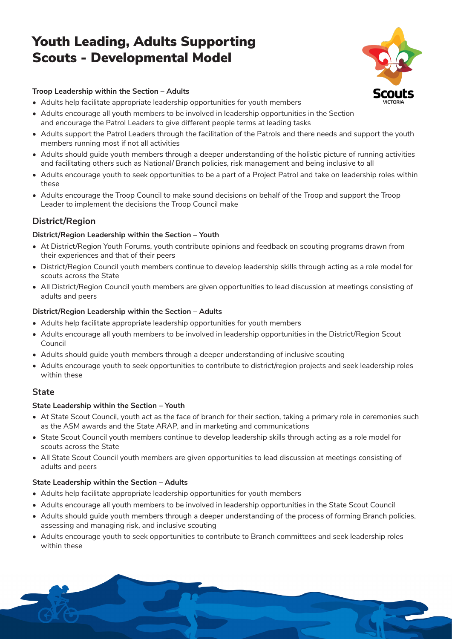

4

#### **Troop Leadership within the Section – Adults**

- Adults help facilitate appropriate leadership opportunities for youth members
- Adults encourage all youth members to be involved in leadership opportunities in the Section and encourage the Patrol Leaders to give different people terms at leading tasks
- Adults support the Patrol Leaders through the facilitation of the Patrols and there needs and support the youth members running most if not all activities
- Adults should guide youth members through a deeper understanding of the holistic picture of running activities and facilitating others such as National/ Branch policies, risk management and being inclusive to all
- Adults encourage youth to seek opportunities to be a part of a Project Patrol and take on leadership roles within these
- Adults encourage the Troop Council to make sound decisions on behalf of the Troop and support the Troop Leader to implement the decisions the Troop Council make

## **District/Region**

#### **District/Region Leadership within the Section – Youth**

- At District/Region Youth Forums, youth contribute opinions and feedback on scouting programs drawn from their experiences and that of their peers
- District/Region Council youth members continue to develop leadership skills through acting as a role model for scouts across the State
- All District/Region Council youth members are given opportunities to lead discussion at meetings consisting of adults and peers

#### **District/Region Leadership within the Section – Adults**

- Adults help facilitate appropriate leadership opportunities for youth members
- Adults encourage all youth members to be involved in leadership opportunities in the District/Region Scout Council
- Adults should guide youth members through a deeper understanding of inclusive scouting
- Adults encourage youth to seek opportunities to contribute to district/region projects and seek leadership roles within these

### **State**

#### **State Leadership within the Section – Youth**

- At State Scout Council, youth act as the face of branch for their section, taking a primary role in ceremonies such as the ASM awards and the State ARAP, and in marketing and communications
- State Scout Council youth members continue to develop leadership skills through acting as a role model for scouts across the State
- All State Scout Council youth members are given opportunities to lead discussion at meetings consisting of adults and peers

#### **State Leadership within the Section – Adults**

- Adults help facilitate appropriate leadership opportunities for youth members
- Adults encourage all youth members to be involved in leadership opportunities in the State Scout Council
- Adults should guide youth members through a deeper understanding of the process of forming Branch policies, assessing and managing risk, and inclusive scouting
- Adults encourage youth to seek opportunities to contribute to Branch committees and seek leadership roles within these